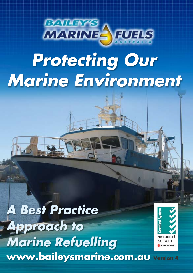

# *Protecting Our Marine Environment*

*A Best Practice Approach to Marine Refuelling* www.baileysmarine.com.au **Version 4**

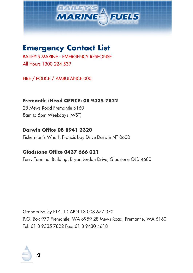

## <span id="page-1-0"></span>**Emergency Contact List**

BAILEY'S MARINE - EMERGENCY RESPONSE All Hours 1300 224 539

FIRE / POLICE / AMBULANCE 000

**Fremantle (Head OFFICE) 08 9335 7822** 28 Mews Road Fremantle 6160 8am to 5pm Weekdays (WST)

**Darwin Office 08 8941 3320** Fisherman's Wharf, Francis bay Drive Darwin NT 0600

#### **Gladstone Office 0437 666 021**

Ferry Terminal Building, Bryan Jordon Drive, Gladstone QLD 4680

Graham Bailey PTY LTD ABN 13 008 677 370 P.O. Box 979 Fremantle, WA 6959 28 Mews Road, Fremantle, WA 6160 Tel: 61 8 9335 7822 Fax: 61 8 9430 4618

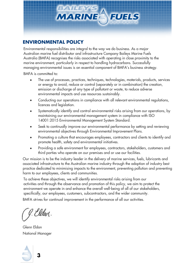

#### <span id="page-2-0"></span>**ENVIRONMENTAL POLICY**

Environmental responsibilities are integral to the way we do business. As a major Australian marine fuel distributor and infrastructure Company Baileys Marine Fuels Australia (BMFA) recognises the risks associated with operating in close proximity to the marine environment, particularly in respect to handling hydrocarbons. Successfully managing environmental issues is an essential component of BMFA's business strategy.

BMFA is committed to:

- The use of processes, practices, techniques, technologies, materials, products, services or energy to avoid, reduce or control (separately or in combination) the creation, emission or discharge of any type of pollutant or waste, to reduce adverse environmental impacts and use resources sustainably.
- Conducting our operations in compliance with all relevant environmental regulations, licences and legislation.
- Systematically identify and control environmental risks arising from our operations, by maintaining our environmental management system in compliance with ISO 14001:2015 Environmental Management System Standard.
- Seek to continually improve our environmental performance by setting and reviewing environmental objectives through Environmental Improvement Plans.
- Promoting a culture that encourages employees, contractors and clients to identify and promote health, safety and environmental initiatives.
- Providing a safe environment for employees, contractors, stakeholders, customers and third parties who operate on our premises and or use our facilities.

Our mission is to be the industry leader in the delivery of marine services, fuels, lubricants and associated infrastructure to the Australian marine industry through the adoption of industry best practice dedicated to minimising impacts to the environment, preventing pollution and preventing harm to our employees, clients and communities.

To achieve these objectives, we will identify environmental risks arising from our activities and through the observance and promotion of this policy, we aim to protect the environment we operate in and enhance the overall well-being of all of our stakeholders, specifically, our employees, customers, subcontractors, and the wider community.

BMFA strives for continual improvement in the performance of all our activities.

J. Eldev.

Glenn Eldon National Manager

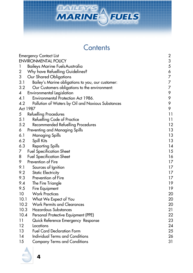

## **Contents**

| <b>Emergency Contact List</b> |                                                   |                |
|-------------------------------|---------------------------------------------------|----------------|
|                               | <b>ENVIRONMENTAL POLICY</b>                       | 3              |
| 1                             | Baileys Marine Fuels Australia                    | 5              |
| $\boldsymbol{2}$              | Why have Refuelling Guidelines?                   | 6              |
| 3                             | Our Shared Obligations                            | $\overline{7}$ |
| 3.1                           | Bailey's Marine obligations to you, our customer: | 7              |
| 3.2                           | Our Customers obligations to the environment:     | 7              |
| 4                             | <b>Environmental Legislation</b>                  | 9              |
| 4.1                           | Environmental Protection Act 1986.                | 9              |
| 4.2                           | Pollution of Waters by Oil and Noxious Substances | 9              |
|                               | Act 1987                                          | 9              |
| 5                             | Refuelling Procedures                             | 11             |
| 5.1                           | Refuelling Code of Practice                       | 11             |
| 5.2                           | Recommended Refuelling Procedures                 | 12             |
| 6                             | Preventing and Managing Spills                    | 13             |
| 6.1                           | Managing Spills                                   | 13             |
| 6.2                           | Spill Kits                                        | 13             |
| 6.3                           | <b>Reporting Spills</b>                           | 14             |
| 7                             | <b>Fuel Specification Sheet</b>                   | 15             |
| 8                             | <b>Fuel Specification Sheet</b>                   | 16             |
| 9                             | Prevention of Fire                                | 17             |
| 9.1                           | Sources of Ignition                               | 17             |
| 9.2                           | <b>Static Electricity</b>                         | 17             |
| 9.3                           | Prevention of Fire                                | 17             |
| 9.4                           | The Fire Triangle                                 | 19             |
| 9.5                           | Fire Equipment                                    | 19             |
| 10                            | <b>Work Practices</b>                             | 20             |
| 10.1                          | What We Expect of You                             | 20             |
| 10.2                          | <b>Work Permits and Clearances</b>                | 20             |
| 10.3                          | Hazardous Substances                              | 21             |
| 10.4                          | Personal Protective Equipment (PPE)               | 22             |
| 11                            | Quick Reference Emergency Response                | 23             |
| 12                            | Locations                                         | 24             |
| 13                            | <b>Fuel Card Declaration Form</b>                 | 25             |
| 14                            | Individual Terms and Conditions                   | 26             |
| 15                            | <b>Company Terms and Conditions</b>               | 31             |
|                               |                                                   |                |

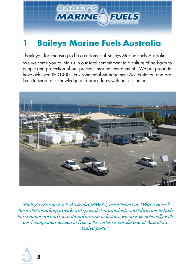

# <span id="page-4-0"></span>**1 Baileys Marine Fuels Australia**

Thank you for choosing to be a customer of Baileys Marine Fuels Australia.

We welcome you to join us in our total commitment to a culture of no harm to people and protection of our precious marine environment. We are proud to have achieved ISO14001 Environmental Management Accreditation and are keen to share our knowledge and procedures with our customers.



"Bailey's Marine Fuels Australia (BMFA), established in 1986 is one of Australia's leading providers of specialist marine fuels and lubricants to both the commercial and recreationalmarine industries. we operate nationally with our headquarters located in Fremantle western Australia one of Australia's busiest ports."

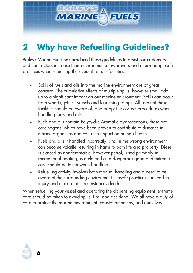

# <span id="page-5-0"></span>**2 Why have Refuelling Guidelines?**

Baileys Marine Fuels has produced these guidelines to assist our customers and contractors increase their environmental awareness and inturn adopt safe practices when refuelling their vessels at our facilities.

- Spills of fuels and oils into the marine environment are of great concern. The cumulative effects of multiple spills, however small add up to a significant impact on our marine environment. Spills can occur from wharfs, jetties, vessels and launching ramps. All users of these facilities should be aware of, and adopt the correct procedures when handling fuels and oils.
- Fuels and oils contain Polycyclic Aromatic Hydrocarbons, these are carcinogens, which have been proven to contribute to diseases in marine organisms and can also impact on human health.
- Fuels and oils if handled incorrectly, and in the wrong environment can become volatile resulting in harm to both life and property. Diesel is classed as nonflammable, however petrol, (used primarily in recreational boating) is a classed as a dangerous good and extreme care should be taken when handling.
- Refuelling activity involves both manual handling and a need to be aware of the surrounding environment. Unsafe practices can lead to injury and in extreme circumstances death.

When refuelling your vessel and operating the dispensing equipment, extreme care should be taken to avoid spills, fire, and accidents. We all have a duty of care to protect the marine environment, coastal amenities, and ourselves.

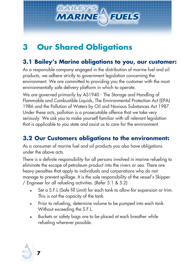

# <span id="page-6-0"></span>**3 Our Shared Obligations**

#### <span id="page-6-1"></span>**3.1 Bailey's Marine obligations to you, our customer:**

As a responsible company engaged in the distribution of marine fuel and oil products, we adhere strictly to government legislation concerning the environment. We are committed to providing you the customer with the most environmentally safe delivery platform in which to operate.

We are governed primarily by AS1940 - The Storage and Handling of Flammable and Combustible Liquids, The Environmental Protection Act (EPA) 1986 and the Pollution of Waters by Oil and Noxious Substances Act 1987. Under these acts, pollution is a prosecutable offence that we take very seriously. We ask you to make yourself familiar with all relevant legislation that is applicable to you state and assist us to care for the environment.

#### <span id="page-6-2"></span>**3.2 Our Customers obligations to the environment:**

As a consumer of marine fuel and oil products you also have obligations under the above acts.

There is a definite responsibility for all persons involved in marine refueling to eliminate the escape of petroleum product into the rivers or sea. There are heavy penalties that apply to individuals and corporations who do not manage to prevent spillage. It is the sole responsibility of the vessel's Skipper / Engineer for all refueling activities. (Refer 5.1 & 5.2)

- Set a S.F.L (Safe fill Limit) for each tank to allow for expansion or trim. This is not the capacity of the tank.
- Prior to refueling, determine volume to be pumped into each tank. Without exceeding the S.F.L.
- Buckets or safety bags are to be placed at each breather while refueling wherever possible.

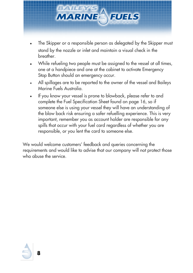

- The Skipper or a responsible person as delegated by the Skipper must stand by the nozzle or inlet and maintain a visual check in the breather.
- While refueling two people must be assigned to the vessel at all times, one at a handpiece and one at the cabinet to activate Emergency Stop Button should an emergency occur.
- All spillages are to be reported to the owner of the vessel and Baileys Marine Fuels Australia.
- If you know your vessel is prone to blowback, please refer to and complete the Fuel Specification Sheet found on page 16, so if someone else is using your vessel they will have an understanding of the blow back risk ensuring a safer refuelling experience. This is very important, remember you as account holder are responsible for any spills that occur with your fuel card regardless of whether you are responsible, or you lent the card to someone else.

We would welcome customers' feedback and queries concerning the requirements and would like to advise that our company will not protect those who abuse the service.

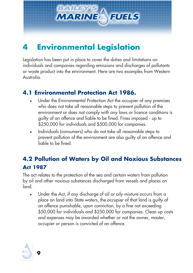

# <span id="page-8-0"></span>**4 Environmental Legislation**

Legislation has been put in place to cover the duties and limitations on individuals and companies regarding emissions and discharges of pollutants or waste product into the environment. Here are two examples from Western Australia.

#### <span id="page-8-1"></span>**4.1 Environmental Protection Act 1986.**

- Under the Environmental Protection Act the occupier of any premises who does not take all reasonable steps to prevent pollution of the environment or does not comply with any laws or licence conditions is guilty of an offence and liable to be fined. Fines imposed - up to \$250,000 for individuals and \$500,000 for companies.
- Individuals (consumers) who do not take all reasonable steps to prevent pollution of the environment are also guilty of an offence and liable to be fined.

### <span id="page-8-2"></span>**4.2 Pollution of Waters by Oil and Noxious Substances Act 1987**

<span id="page-8-3"></span>The act relates to the protection of the sea and certain waters from pollution by oil and other noxious substances discharged from vessels and places on land.

• Under the Act, if any discharge of oil or oily mixture occurs from a place on land into State waters, the occupier of that land is guilty of an offence punishable, upon conviction, by a fine not exceeding \$50,000 for individuals and \$250,000 for companies. Clean up costs and expenses may be awarded whether or not the owner, master, occupier or person is convicted of an offence.

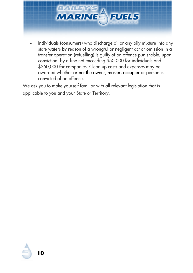

• Individuals (consumers) who discharge oil or any oily mixture into any state waters by reason of a wrongful or negligent act or omission in a transfer operation (refuelling) is guilty of an offence punishable, upon conviction, by a fine not exceeding \$50,000 for individuals and \$250,000 for companies. Clean up costs and expenses may be awarded whether or not the owner, master, occupier or person is convicted of an offence.

We ask you to make yourself familiar with all relevant legislation that is applicable to you and your State or Territory.

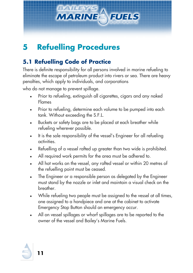

# <span id="page-10-0"></span>**5 Refuelling Procedures**

### <span id="page-10-1"></span>**5.1 Refuelling Code of Practice**

There is definite responsibility for all persons involved in marine refueling to eliminate the escape of petroleum product into rivers or sea. There are heavy penalties, which apply to individuals, and corporations

who do not manage to prevent spillage.

- Prior to refueling, extinguish all cigarettes, cigars and any naked Flames
- Prior to refueling, determine each volume to be pumped into each tank. Without exceeding the S.F.L.
- Buckets or safety bags are to be placed at each breather while refueling wherever possible.
- It is the sole responsibility of the vessel's Engineer for all refueling activities.
- Refuelling of a vessel rafted up greater than two wide is prohibited.
- All required work permits for the area must be adhered to.
- All hot works on the vessel, any rafted vessel or within 20 metres of the refuelling point must be ceased.
- The Engineer or a responsible person as delegated by the Engineer must stand by the nozzle or inlet and maintain a visual check on the breather.
- While refueling two people must be assigned to the vessel at all times, one assigned to a handpiece and one at the cabinet to activate Emergency Stop Button should an emergency occur.
- All on vessel spillages or wharf spillages are to be reported to the owner of the vessel and Bailey's Marine Fuels.

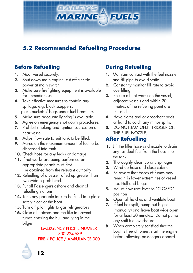

#### <span id="page-11-0"></span>**5.2 Recommended Refuelling Procedures**

#### **Before Refuelling**

- **1.** Moor vessel securely.
- **2.** Shut down main engine, cut off electric power at main switch
- **3.** Make sure firefighting equipment is available for immediate use.
- **4.** Take effective measures to contain any spillage, e.g. block scuppers, place buckets / bags under fuel breathers.
- **5.** Make sure adequate lighting is available.
- **6.** Agree on emergency shut down procedures.
- **7.** Prohibit smoking and ignition sources on or near vessel.
- **8.** Adjust flow rate to suit tank to be filled.
- **9.** Agree on the maximum amount of fuel to be dispensed into tank.
- **10.** Check hose for any leaks or damage.
- **11.** If hot works are being performed an appropriate permit must first be obtained from the relevant authority.
- **12.** Refuelling of a vessel rafted up greater than two wide is prohibited.
- **13.** Put all Passengers ashore and clear of refuelling stations
- **14.** Take any portable tank to be filled to a place safely clear of the boat
- **15.** Turn off pilot lights to gas refrigerators
- **16.** Close all hatches and the like to prevent fumes entering the hull and lying in the bilges

 EMERGENCY PHONE NUMBER 1300 224 539 FIRE / POLICE / AMBULANCE 000

#### **During Refuelling**

- **1.** Maintain contact with the fuel nozzle and fill pipe to avoid static.
- **2.** Constantly monitor fill rate to avoid overfilling
- **3.** Ensure all hot works on the vessel, adjacent vessels and within 20 metres of the refueling point are ceased.
- **4.** Have cloths and or absorbent pads at hand to catch any minor spills.
- **5.** DO NOT JAM OPEN TRIGGER ON THE FUEL NOZZLE.

#### **After Refuelling**

- **1.** Lift the filler hose and nozzle to drain any residual fuel from the hose into the tank.
- **2.** Thoroughly clean up any spillages.
- **3.** Wind up hose and close cabinet.
- **4.** Be aware that traces of fumes may remain in lower extremities of vessel i.e. Hull and bilges.
- **5.** Adjust flow rate lever to "CLOSED" position
- **6.** Open all hatches and ventilate boat
- **7.** If fuel has spilt, pump out bilges (manually) and leave boat wide open for at least 30 minutes. Do not pump any spilt fuel overboard
- **8.** When completely satisfied that the boat is free of fumes, start the engine before allowing passengers aboard



 **12**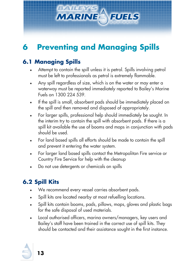

# <span id="page-12-0"></span>**6 Preventing and Managing Spills**

### <span id="page-12-1"></span>**6.1 Managing Spills**

- Attempt to contain the spill unless it is petrol. Spills involving petrol must be left to professionals as petrol is extremely flammable.
- Any spill regardless of size, which is on the water or may enter a waterway must be reported immediately reported to Bailey's Marine Fuels on 1300 224 539.
- If the spill is small, absorbent pads should be immediately placed on the spill and then removed and disposed of appropriately.
- For larger spills, professional help should immediately be sought. In the interim try to contain the spill with absorbent pads. If there is a spill kit available the use of booms and mops in conjunction with pads should be used.
- For land based spills all efforts should be made to contain the spill and prevent it entering the water system.
- For larger land based spills contact the Metropolitan Fire service or Country Fire Service for help with the cleanup
- Do not use detergents or chemicals on spills

### <span id="page-12-2"></span>**6.2 Spill Kits**

- We recommend every vessel carries absorbent pads.
- Spill kits are located nearby at most refuelling locations.
- Spill kits contain booms, pads, pillows, mops, gloves and plastic bags for the safe disposal of used materials.
- Local authorised officers, marina owners/managers, key users and Bailey's staff have been trained in the correct use of spill kits. They should be contacted and their assistance sought in the first instance.

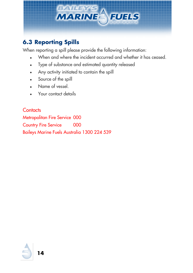

### <span id="page-13-0"></span>**6.3 Reporting Spills**

When reporting a spill please provide the following information:

- When and where the incident occurred and whether it has ceased.
- Type of substance and estimated quantity released
- Any activity initiated to contain the spill
- Source of the spill
- Name of vessel.
- Your contact details

**Contacts** Metropolitan Fire Service 000 Country Fire Service 000 Baileys Marine Fuels Australia 1300 224 539

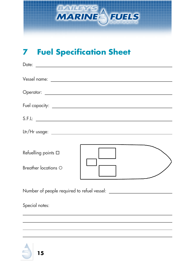

# <span id="page-14-0"></span>**7 Fuel Specification Sheet**

| Refuelling points □<br>Breather locations O |  |
|---------------------------------------------|--|

Number of people required to refuel vessel:

Special notes:

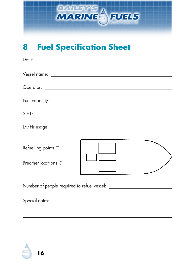

# <span id="page-15-0"></span>**8 Fuel Specification Sheet**

|                                             | S.F.L: |
|---------------------------------------------|--------|
|                                             |        |
| Refuelling points □<br>Breather locations O |        |
|                                             |        |
| Special notes:                              |        |
|                                             |        |

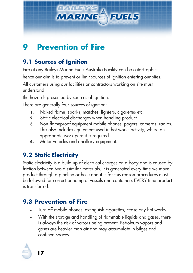

# <span id="page-16-0"></span>**9 Prevention of Fire**

### <span id="page-16-1"></span>**9.1 Sources of Ignition**

Fire at any Baileys Marine Fuels Australia Facility can be catastrophic

hence our aim is to prevent or limit sources of ignition entering our sites.

All customers using our facilities or contractors working on site must understand

the hazards presented by sources of ignition.

There are generally four sources of ignition:

- **1.** Naked flame, sparks, matches, lighters, cigarettes etc.
- **2.** Static electrical discharges when handling product
- **3.** Non-flameproof equipment mobile phones, pagers, cameras, radios. This also includes equipment used in hot works activity, where an appropriate work permit is required.
- **4.** Motor vehicles and ancillary equipment.

### <span id="page-16-2"></span>**9.2 Static Electricity**

Static electricity is a build up of electrical charges on a body and is caused by friction between two dissimilar materials. It is generated every time we move product through a pipeline or hose and it is for this reason procedures must be followed for correct bonding of vessels and containers EVERY time product is transferred.

### <span id="page-16-3"></span>**9.3 Prevention of Fire**

- Turn off mobile phones, extinguish cigarettes, cease any hot works.
- With the storage and handling of flammable liquids and gases, there is always the risk of vapors being present. Petroleum vapors and gases are heavier than air and may accumulate in bilges and confined spaces.

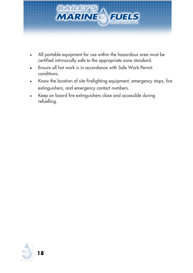

- All portable equipment for use within the hazardous area must be certified intrinsically safe to the appropriate zone standard.
- Ensure all hot work is in accordance with Safe Work Permit conditions.
- Know the location of site firefighting equipment, emergency stops, fire extinguishers, and emergency contact numbers.
- Keep on board fire extinguishers close and accessible during refuelling.

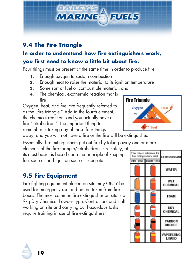

#### <span id="page-18-0"></span>**9.4 The Fire Triangle In order to understand how fire extinguishers work, you first need to know a little bit about fire.**

Four things must be present at the same time in order to produce fire:

- **1.** Enough oxygen to sustain combustion
- **2.** Enough heat to raise the material to its ignition temperature
- **3.** Some sort of fuel or combustible material, and
- **4.** The chemical, exothermic reaction that is fire

Oxygen, heat, and fuel are frequently referred to as the "fire triangle." Add in the fourth element, the chemical reaction, and you actually have a fire "tetrahedron." The important thing to remember is taking any of these four things

away, and you will not have a fire or the fire will be extinguished.

Essentially, fire extinguishers put out fire by taking away one or more

elements of the fire triangle/tetrahedron. Fire safety, at its most basic, is based upon the principle of keeping fuel sources and ignition sources separate.

### <span id="page-18-1"></span>**9.5 Fire Equipment**

Fire fighting equipment placed on site may ONLY be used for emergency use and not be taken from fire boxes. The most common fire extinguisher on site is a 9kg Dry Chemical Powder type. Contractors and staff working on site and carrying out hazardous tasks require training in use of fire extinguishers.



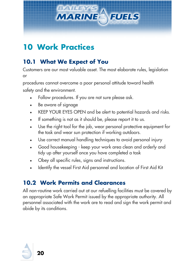

# <span id="page-19-0"></span>**10 Work Practices**

### <span id="page-19-1"></span>**10.1 What We Expect of You**

Customers are our most valuable asset. The most elaborate rules, legislation or

procedures cannot overcome a poor personal attitude toward health safety and the environment.

- Follow procedures. If you are not sure please ask.
- Be aware of signage
- KEEP YOUR EYES OPEN and be alert to potential hazards and risks.
- If something is not as it should be, please report it to us.
- Use the right tool for the job, wear personal protective equipment for the task and wear sun protection if working outdoors.
- Use correct manual handling techniques to avoid personal injury
- Good housekeeping keep your work area clean and orderly and tidy up after yourself once you have completed a task
- Obey all specific rules, signs and instructions.
- Identify the vessel First Aid personnel and location of First Aid Kit

### <span id="page-19-2"></span>**10.2 Work Permits and Clearances**

All non-routine work carried out at our refuelling facilities must be covered by an appropriate Safe Work Permit issued by the appropriate authority. All personnel associated with the work are to read and sign the work permit and abide by its conditions.

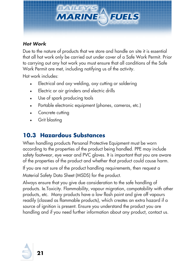

#### *Hot Work*

Due to the nature of products that we store and handle on site it is essential that all hot work only be carried out under cover of a Safe Work Permit. Prior to carrying out any hot work you must ensure that all conditions of the Safe Work Permit are met, including notifying us of the activity.

Hot work includes:

- Electrical and oxy welding, oxy cutting or soldering
- Electric or air grinders and electric drills
- Use of spark producing tools
- Portable electronic equipment (phones, cameras, etc.)
- Concrete cutting
- Grit blasting

### <span id="page-20-0"></span>**10.3 Hazardous Substances**

When handling products Personal Protective Equipment must be worn according to the properties of the product being handled. PPE may include safety footwear, eye wear and PVC gloves. It is important that you are aware of the properties of the product and whether that product could cause harm.

If you are not sure of the product handling requirements, then request a Material Safety Data Sheet (MSDS) for the product.

Always ensure that you give due consideration to the safe handling of products. Ie.Toxicity. Flammability, vapour migration, compatability with other products, etc. Many products have a low flash point and give off vapours readily (classed as flammable products), which creates an extra hazard if a source of ignition is present. Ensure you understand the product you are handling and if you need further information about any product, contact us.

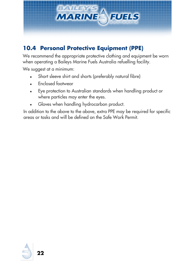

### <span id="page-21-0"></span>**10.4 Personal Protective Equipment (PPE)**

We recommend the appropriate protective clothing and equipment be worn when operating a Baileys Marine Fuels Australia refuelling facility.

We suggest at a minimum:

- Short sleeve shirt and shorts (preferably natural fibre)
- Enclosed footwear
- Eye protection to Australian standards when handling product or where particles may enter the eyes.
- Gloves when handling hydrocarbon product.

In addition to the above to the above, extra PPE may be required for specific areas or tasks and will be defined on the Safe Work Permit.

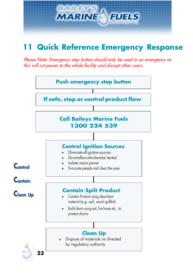

### <span id="page-22-0"></span>**11 Quick Reference Emergency Response**

Please Note: Emergency stop button should only be used in an emergency as this will cut power to the whole facility and disrupt other users.

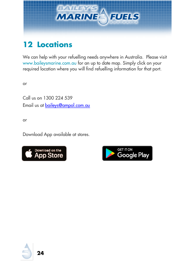

# <span id="page-23-0"></span>**12 Locations**

We can help with your refuelling needs anywhere in Australia. Please visit [www.baileysmarine.com.au](http://www.baileysmarine.com.au/) for an up to date map. Simply click on your required location where you will find refuelling information for that port.

or

Call us on 1300 224 539 Email us at [baileys@ampol.com.au](mailto:baileys@ampol.com.au)

or

Download App available at stores.





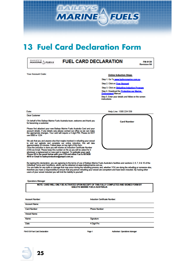

### <span id="page-24-0"></span>**13 Fuel Card Declaration Form**

| <b>MARINE</b> FUELS | <b>FUEL CARD DECLARATION</b>                                            |  |
|---------------------|-------------------------------------------------------------------------|--|
| Your Account Code:  | <b>Online Induction Steps</b><br>Step 1. Go To www.baileysmarine.com.au |  |

Step 2. Click on Your Account

Step 3. Click on Refuelling Induction Program

Step 4. Download the Protecting our Marine

nt Manual

Step 5. Enter your details and follow on the screen uctions

Date:

**Dear Customer** 

On behalf of the Baileys Marine Fuels Australia team, welcome and thank you for becoming a customer.

Please find attached your new Baileys Marine Fuels Australia Card and your<br>account details. If any details vary please contact our office so we can make<br>the appropriate changes. Your card will require a 4 digit PIN. Please

We ask that you and anyone else that maybe involved in refuelling your vessel<br>to visit our website and complete our online induction, this will take<br>approximately 20 minutes. Follow steps on top right of this form.<br>Once th Once the moustom is outle you will receive an intouston certificate Northelm ((CN) via Email. Please keep this number on file as you will be asked for it whenever a replacement or new card is required. To activate your car

Help Line: 1300 224 539

**Card Number** 



By signing this declaration, you are agreeing to the terms of use of Baileys Marine Fuels Australia's facilities and sections 2, 6, 7, 9 & 10 of the<br>Individual Terms and Conditions, which can be obtained at www.baileysmari

|  | <b>Operations Manager</b> |
|--|---------------------------|
|  |                           |

NOTE: CARD WILL ONLY BE ACTIVATED UPON RECEIPT OF THIS FULLY COMPLETED AND SIGNED FORM BY

**Account Number Account Name:** 

FM-0139 Fuel Card Declaration

Induction Certificate Number:

**Card Number** 

Vessel Name

Name:

Date:

Signature 4 Digit Pin:

Page 1

Authoriser: Operations Manager



**Phone Number**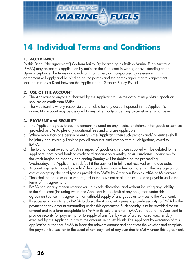

# <span id="page-25-0"></span>**14 Individual Terms and Conditions**

#### **1. ACCEPTANCE**

By this Deed ("the agreement") Graham Bailey Pty Ltd trading as Baileys Marine Fuels Australia (BMFA) may accept this application by notice to the Applicant in writing or by extending credit. Upon acceptance, the terms and conditions contained, or incorporated by reference, in this agreement will apply and be binding on the parties and the parties agree that this agreement shall operate as a Deed between the Applicant and Graham Bailey Pty Ltd.

#### **2. USE OF THE ACCOUNT**

- a) The Applicant or anyone authorized by the Applicant to use the account may obtain goods or services on credit from BMFA.
- b) The Applicant is wholly responsible and liable for any account opened in the Applicant's name. No account may be assigned to any other party under any circumstances whatsoever.

#### **3. PAYMENT and SECURITY**

- a) The Applicant agrees to pay the amount included on any invoice or statement for goods or services provided by BMFA, plus any additional fees and charges applicable.
- b) Where more than one person or entity is the 'Applicant' then such persons and/ or entities shall be jointly and severally liable to pay all amounts, and comply with all obligations, owed to BMFA.
- c) The total amount owed to BMFA in respect of goods and services supplied will be debited to the Applicants nominated bank or credit card account on a weekly basis. Purchases undertaken for the week beginning Monday and ending Sunday will be debited on the proceeding Wednesday. The Applicant is in default if the payment in full is not received by the due date.
- d) Account payments made by credit / debit cards will incur a fee not more than the average annual cost of accepting the card type as provided to BMFA by American Express, VISA or Mastercard.
- e) Time shall be of the essence with regard to the payment of all monies due and payable under the terms of this agreement.
- f) BMFA can for any reason whatsoever (in its sole discretion) and without incurring any liability to the Applicant (including where the Applicant is in default of any obligation under this agreement) cancel this agreement or withhold supply of any goods or services to the Applicant.
- g) If requested at any time by BMFA to do so, the Applicant agrees to provide security to BMFA for the payment of any amount outstanding under this agreement. Such security is to be provided for an amount and in a form acceptable to BMFA in its sole discretion. BMFA can require the Applicant to provide security for payment prior to supply of any fuel by way of a credit card voucher duly executed by the Applicant but with the amount being left blank. The Applicant by execution of this application authorizes BMFA to insert the relevant amount and negotiate the voucher and complete the payment transaction in the event of non payment of any sum due to BMFA under this agreement.

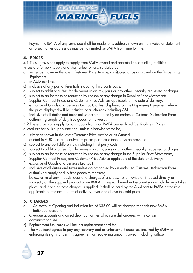

h) Payment to BMFA of any sums due shall be made to its address shown on the invoice or statement or to such other address as may be nominated by BMFA from time to time.

#### **4. PRICES**

4.1 These provisions apply to supply from BMFA owned and operated fixed fuelling facilities.

- Prices are for bulk supply and shall unless otherwise stated be;
- a) either as shown in the latest Customer Price Advice, as Quoted or as displayed on the Dispensing Equipment.
- b) in AUD per litre.
- c) inclusive of any port differentials including third party costs.
- d) subject to additional fees for deliveries in drums, pails or any other specially requested packages
- e) subject to an increase or reduction by reason of any change in Supplier Price Movements, Supplier Contract Prices and Customer Price Advices applicable at the date of delivery;
- f) exclusive of Goods and Services tax (GST) unless displayed on the Dispensing Equipment where the price displayed will be inclusive of all charges including GST
- g) inclusive of all duties and taxes unless accompanied by an endorsed Customs Declaration Form authorising supply of duty free goods to the vessel.
- 4.2 These provisions apply to bulk supply from non BMFA owned fixed fuel facilities. Prices quoted are for bulk supply and shall unless otherwise stated be;
- a) either as shown in the latest Customer Price Advice or as Quoted.
- b) quoted in AUD per litre (equivalent prices per metric tonne also be provided)
- c) subject to any port differentials including third party costs.
- d) subject to additional fees for deliveries in drums, pails or any other specially requested packages
- e) subject to an increase or reduction by reason of any change in the Supplier Price Movements, Supplier Contract Prices, and Customer Price Advice applicable at the date of delivery;
- f) exclusive of Goods and Services tax (GST);
- g) inclusive of all duties and taxes unless accompanied by an endorsed Customs Declaration Form authorising supply of duty free goods to the vessel.
- h) be exclusive of any imposts, dues and charges of any description levied or imposed directly or indirectly on the supplied product or on BMFA in respect thereof in the country in which delivery takes place, and if one of these charges is applied, it shall be paid by the Applicant to BMFA at the rate applicable on the actual date of delivery, over and above the said price.

#### **5. CHARGES**

- a) An Account Opening and Induction fee of \$35.00 will be charged for each new BMFA Individual account.
- b) Overdue accounts and direct debit authorities which are dishonoured will incur an administration fee.
- c) Replacement fuel cards will incur a replacement card fee.
- d) The Applicant agrees to pay any recovery and or enforcement expenses incurred by BMFA in enforcing its rights under this agreement or recovering amounts owed, including without

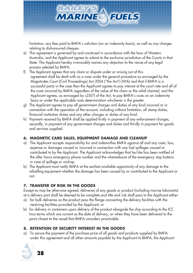

limitation, any fees paid to BMFA's solicitors (on an indemnity basis), as well as any charges relating to dishonoured cheques.

- e) This agreement is governed by and construed in accordance with the laws of Western Australia, and the Applicant agrees to submit to the exclusive jurisdiction of the Courts in that State. The Applicant hereby irrevocably waives any objection to the venue of any legal process selected by BMFA.
- f) The Applicant agrees that any claim or dispute under or arising out of this agreement shall be dealt with as a case under the general procedure as envisaged by the Magistrates Court (Civil Proceedings) Act 2004 ("the Act") (WA) and that if BMFA is a successful party in the case then the Applicant agrees to pay interest at the court rate and all of the costs incurred by BMFA regardless of the value of the claim or the relief claimed, and the Applicant agrees, as envisaged by s25(7) of the Act, to pay BMFA's costs on an indemnity basis or under the applicable costs determination whichever is the greater.
- g) The Applicant agrees to pay all government charges and duties of any kind incurred or in connection with the operation of the account, including without limitation, all stamp duties, financial institution duties and any other charges or duties of any kind.
- h) Payment received by BMFA shall be applied firstly in payment of any enforcement charges, secondly, in payment of any government charges and duties and thirdly in payment for goods and services supplied.

#### **6. MAGNETIC CARD SALES, EQUIPMENT DAMAGE AND CLEANUP**

- a) The Applicant accepts responsibility for and indemnifies BMFA against all and any costs, loss, expense or damages caused or incurred in connection with any fuel spillages caused or contributed to by the Applicant. The Applicant acknowledges that he/she has been notified of the after hours emergency phone number and the whereabouts of the emergency stop buttons in case of spillage or mishap.
- b) The Applicant must notify BMFA at the earliest available opportunity of any damage to the refuelling equipment whether the damage has been caused by or contributed to the Applicant or not.

#### **7. TRANSFER OF RISK IN THE GOODS**

Except as may be otherwise agreed, deliveries of any goods or product (including marine lubricants) at a delivery port shall be deemed to be complete and title and risk shall pass to the Applicant either:

- a) for bulk deliveries as the product pass the flange connecting the delivery facilities with the receiving facilities provided by the Applicant; or
- b) for delivery in containers upon delivery of the product alongside the ship according to the ICC Inco terms which are current as the date of delivery, or when they have been delivered to the point closest to the vessel that BMFA considers practicable.

#### **8. RETENTION OF SECURITY INTEREST IN THE GOODS**

a) To secure the payment of the purchase price of all goods and products supplied by BMFA under this agreement and all other amounts payable by the Applicant to BMFA, the Applicant

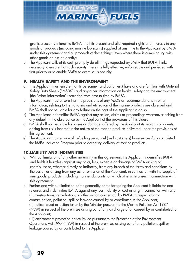

grants a security interest to BMFA in all its present and after-aquired rights and interests in any goods or products (including marine lubricants) supplied at any time to the Applicant by BMFA under this agreement and all proceeds of those things (even where there is commingling with other goods or loss of identity).

b) The Applicant will, at its cost, promptly do all things requested by BMFA that BMFA thinks necessary to ensure that such security interest is fully effective, enforceable and perfected with first priority or to enable BMFA to exercise its security.

#### **9. HEALTH SAFETY AND THE ENVIRONMENT**

- a) The Applicant must ensure that its personnel (and customers) have and are familiar with Material Safety Data Sheets ("MSDS") and any other information on health, safety and the environment (the "other information") provided from time to time by BMFA.
- b) The Applicant must ensure that the provisions of any MSDS or recommendations in other information, relating to the handling and utilization of the marine products are observed and BMFA shall not be liable for any failure on the part of the Applicant to do so.
- c) The Applicant indemnifies BMFA against any action, claims or proceedings whatsoever arising from any default in the observance by the Applicant of the provisions of this clause.
- d) BMFA shall not be liable for losses or damage suffered by the Applicant its servants or agents, arising from risks inherent in the nature of the marine products delivered under the provisions of this agreement.
- e) The Applicant must ensure all refuelling personnel (and customers) have successfully completed the BMFA Induction Program prior to accepting delivery of marine products.

#### **10.LIABILITY AND INDEMNITIES**

- a) Without limitation of any other indemnity in this agreement, the Applicant indemnifies BMFA and holds it harmless against any costs, loss, expense or damage of BMFA arising or contributed to, whether directly or indirectly, from any breach of the terms and conditions by the customer arising from any act or omission of the Applicant, in connection with the supply of any goods, products (including marine lubricants) or which otherwise arises in connection with this agreement.
- b) Further and without limitation of the generality of the foregoing the Applicant is liable for and releases and indemnifies BMFA against any loss, liability or cost arising in connection with any: (i) investigations, remediation, or other action carried out by BMFA in respect of any contamination, pollution, spill or leakage caused by or contributed to the Applicant; (ii) notice issued or action taken by the Minister pursuant to the Marine Pollution Act 1987 (NSW) in respect of the premises arising out of any discharge of oil caused by or contributed to the Applicant;

(iii) environment protection notice issued pursuant to the Protection of the Environment Operations Act 1997 (NSW) in respect of the premises arising out of any pollution, spill or leakage caused by or contributed to the Applicant;

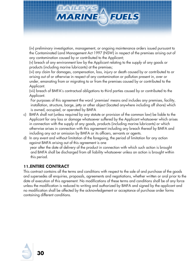

(iv) preliminary investigation, management, or ongoing maintenance orders issued pursuant to the Contaminated Land Management Act 1997 (NSW) in respect of the premises arising out of any contamination caused by or contributed to the Applicant;

(v) breach of any environment law by the Applicant relating to the supply of any goods or products (including marine lubricants) at the premises;

(vi) any claim for damages, compensation, loss, injury or death caused by or contributed to or arising out of or otherwise in respect of any contamination or pollution present in, over or under, emanating from or migrating to or from the premises caused by or contributed to the Applicant.

(vii) breach of BMFA's contractual obligations to third parties caused by or contributed to the Applicant.

For purposes of this agreement the word 'premises' means and includes any premises, facility, installation, structure, barge, jetty or other object (located anywhere including off shore) which is owned, occupied, or operated by BMFA

- c) BMFA shall not (unless required by any statute or provision of the common law) be liable to the Applicant for any loss or damage whatsoever suffered by the Applicant whatsoever which arises in connection with the supply of any goods, products (including marine lubricants) or which otherwise arises in connection with this agreement including any breach thereof by BMFA and including any act or omission by BMFA or its officers, servants or agents.
- d) In any event and without limitation of the foregoing, the period of limitation for any action against BMFA arising out of this agreement is one year after the date of delivery of the product in connection with which such action is brought and BMFA shall be discharged from all liability whatsoever unless an action is brought within this period.

#### **11.ENTIRE CONTRACT**

This contract contains all the terms and conditions with respect to the sale of and purchase of the goods and supersedes all enquiries, proposals, agreements and negotiations, whether written or oral prior to the date of execution of this agreement. No modifications of these terms and conditions shall be of any force unless the modification is reduced to writing and authorized by BMFA and signed by the applicant and no modification shall be affected by the acknowledgement or acceptance of purchase order forms containing different conditions.

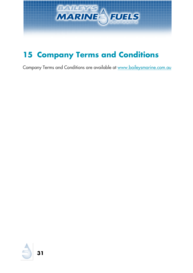

# <span id="page-30-0"></span>**Company Terms and Conditions**

Company Terms and Conditions are available at [www.baileysmarine.com.au](http://www.baileysmarine.com.au/your-account/create-an-account)